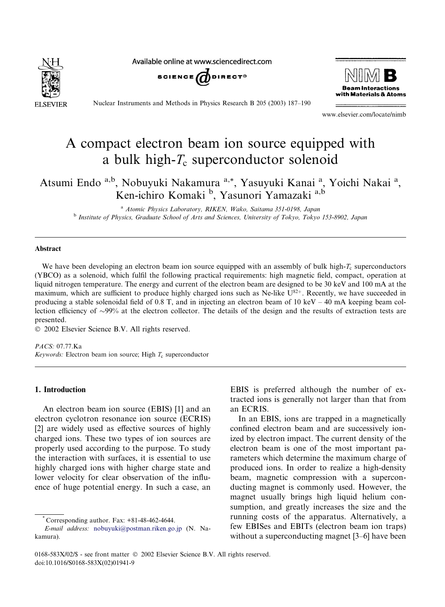

Available online at www.sciencedirect.com





Nuclear Instruments and Methods in Physics Research B 205 (2003) 187–190

www.elsevier.com/locate/nimb

# A compact electron beam ion source equipped with a bulk high- $T_c$  superconductor solenoid

Atsumi Endo<sup>a,b</sup>, Nobuyuki Nakamura<sup>a,\*</sup>, Yasuyuki Kanai<sup>a</sup>, Yoichi Nakai<sup>a</sup>, Ken-ichiro Komaki<sup>b</sup>, Yasunori Yamazaki<sup>a,b</sup>

<sup>a</sup> Atomic Physics Laboratory, RIKEN, Wako, Saitama 351-0198, Japan <sup>b</sup> Institute of Physics, Graduate School of Arts and Sciences, University of Tokyo, Tokyo 153-8902, Japan

## Abstract

We have been developing an electron beam ion source equipped with an assembly of bulk high- $T_c$  superconductors (YBCO) as a solenoid, which fulfil the following practical requirements: high magnetic field, compact, operation at liquid nitrogen temperature. The energy and current of the electron beam are designed to be 30 keV and 100 mA at the maximum, which are sufficient to produce highly charged ions such as Ne-like  $U^{82+}$ . Recently, we have succeeded in producing a stable solenoidal field of 0.8 T, and in injecting an electron beam of 10 keV – 40 mA keeping beam collection efficiency of ~99% at the electron collector. The details of the design and the results of extraction tests are presented.

2002 Elsevier Science B.V. All rights reserved.

PACS: 07.77.Ka Keywords: Electron beam ion source; High  $T_c$  superconductor

## 1. Introduction

An electron beam ion source (EBIS) [1] and an electron cyclotron resonance ion source (ECRIS) [2] are widely used as effective sources of highly charged ions. These two types of ion sources are properly used according to the purpose. To study the interaction with surfaces, it is essential to use highly charged ions with higher charge state and lower velocity for clear observation of the influence of huge potential energy. In such a case, an

EBIS is preferred although the number of extracted ions is generally not larger than that from an ECRIS.

In an EBIS, ions are trapped in a magnetically confined electron beam and are successively ionized by electron impact. The current density of the electron beam is one of the most important parameters which determine the maximum charge of produced ions. In order to realize a high-density beam, magnetic compression with a superconducting magnet is commonly used. However, the magnet usually brings high liquid helium consumption, and greatly increases the size and the running costs of the apparatus. Alternatively, a few EBISes and EBITs (electron beam ion traps) without a superconducting magnet [3–6] have been

Corresponding author. Fax:  $+81-48-462-4644$ .

E-mail address: [nobuyuki@postman.riken.go.jp](mail to: nobuyuki@postman.riken.go.jp) (N. Nakamura).

<sup>0168-583</sup>X/02/\$ - see front matter  $\odot$  2002 Elsevier Science B.V. All rights reserved. doi:10.1016/S0168-583X(02)01941-9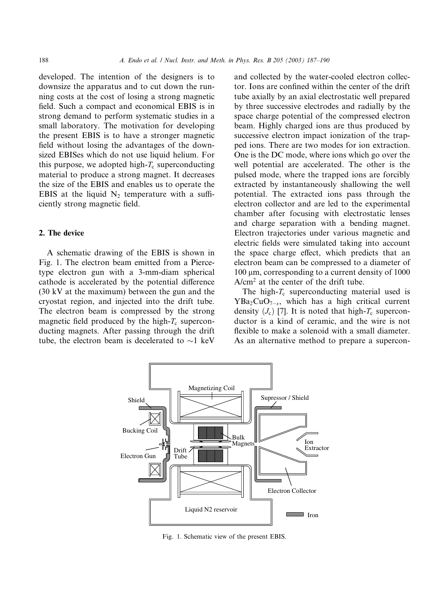developed. The intention of the designers is to downsize the apparatus and to cut down the running costs at the cost of losing a strong magnetic field. Such a compact and economical EBIS is in strong demand to perform systematic studies in a small laboratory. The motivation for developing the present EBIS is to have a stronger magnetic field without losing the advantages of the downsized EBISes which do not use liquid helium. For this purpose, we adopted high- $T_c$  superconducting material to produce a strong magnet. It decreases the size of the EBIS and enables us to operate the EBIS at the liquid  $N_2$  temperature with a sufficiently strong magnetic field.

# 2. The device

A schematic drawing of the EBIS is shown in Fig. 1. The electron beam emitted from a Piercetype electron gun with a 3-mm-diam spherical cathode is accelerated by the potential difference (30 kV at the maximum) between the gun and the cryostat region, and injected into the drift tube. The electron beam is compressed by the strong magnetic field produced by the high- $T_c$  superconducting magnets. After passing through the drift tube, the electron beam is decelerated to  $\sim$ 1 keV

and collected by the water-cooled electron collector. Ions are confined within the center of the drift tube axially by an axial electrostatic well prepared by three successive electrodes and radially by the space charge potential of the compressed electron beam. Highly charged ions are thus produced by successive electron impact ionization of the trapped ions. There are two modes for ion extraction. One is the DC mode, where ions which go over the well potential are accelerated. The other is the pulsed mode, where the trapped ions are forcibly extracted by instantaneously shallowing the well potential. The extracted ions pass through the electron collector and are led to the experimental chamber after focusing with electrostatic lenses and charge separation with a bending magnet. Electron trajectories under various magnetic and electric fields were simulated taking into account the space charge effect, which predicts that an electron beam can be compressed to a diameter of 100 lm, corresponding to a current density of 1000  $A/cm<sup>2</sup>$  at the center of the drift tube.

The high- $T_c$  superconducting material used is  $YBa<sub>2</sub>CuO<sub>7-x</sub>$ , which has a high critical current density  $(J_c)$  [7]. It is noted that high- $T_c$  superconductor is a kind of ceramic, and the wire is not flexible to make a solenoid with a small diameter. As an alternative method to prepare a supercon-



Fig. 1. Schematic view of the present EBIS.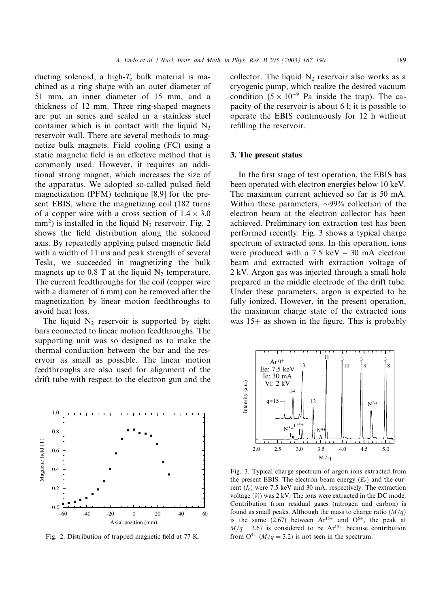ducting solenoid, a high- $T_c$  bulk material is machined as a ring shape with an outer diameter of 51 mm, an inner diameter of 15 mm, and a thickness of 12 mm. Three ring-shaped magnets are put in series and sealed in a stainless steel container which is in contact with the liquid  $N_2$ reservoir wall. There are several methods to magnetize bulk magnets. Field cooling (FC) using a static magnetic field is an effective method that is commonly used. However, it requires an additional strong magnet, which increases the size of the apparatus. We adopted so-called pulsed field magnetization (PFM) technique [8,9] for the present EBIS, where the magnetizing coil (182 turns of a copper wire with a cross section of  $1.4 \times 3.0$  $mm<sup>2</sup>$ ) is installed in the liquid N<sub>2</sub> reservoir. Fig. 2 shows the field distribution along the solenoid axis. By repeatedly applying pulsed magnetic field with a width of 11 ms and peak strength of several Tesla, we succeeded in magnetizing the bulk magnets up to 0.8 T at the liquid  $N<sub>2</sub>$  temperature. The current feedthroughs for the coil (copper wire with a diameter of 6 mm) can be removed after the magnetization by linear motion feedthroughs to avoid heat loss.

The liquid  $N_2$  reservoir is supported by eight bars connected to linear motion feedthroughs. The supporting unit was so designed as to make the thermal conduction between the bar and the reservoir as small as possible. The linear motion feedthroughs are also used for alignment of the drift tube with respect to the electron gun and the



Fig. 2. Distribution of trapped magnetic field at 77 K.

collector. The liquid  $N_2$  reservoir also works as a cryogenic pump, which realize the desired vacuum condition  $(5 \times 10^{-9}$  Pa inside the trap). The capacity of the reservoir is about 6 l; it is possible to operate the EBIS continuously for 12 h without refilling the reservoir.

# 3. The present status

In the first stage of test operation, the EBIS has been operated with electron energies below 10 keV. The maximum current achieved so far is 50 mA. Within these parameters,  $\sim$ 99% collection of the electron beam at the electron collector has been achieved. Preliminary ion extraction test has been performed recently. Fig. 3 shows a typical charge spectrum of extracted ions. In this operation, ions were produced with a  $7.5 \text{ keV} - 30 \text{ mA}$  electron beam and extracted with extraction voltage of 2 kV. Argon gas was injected through a small hole prepared in the middle electrode of the drift tube. Under these parameters, argon is expected to be fully ionized. However, in the present operation, the maximum charge state of the extracted ions was  $15+$  as shown in the figure. This is probably



Fig. 3. Typical charge spectrum of argon ions extracted from the present EBIS. The electron beam energy  $(E_e)$  and the current  $(I_e)$  were 7.5 keV and 30 mA, respectively. The extraction voltage  $(V_i)$  was 2 kV. The ions were extracted in the DC mode. Contribution from residual gases (nitrogen and carbon) is found as small peaks. Although the mass to charge ratio  $\left(\frac{M}{q}\right)$ is the same (2.67) between  $Ar^{15+}$  and  $O^{6+}$ , the peak at  $M/q = 2.67$  is considered to be Ar<sup>15+</sup> because contribution from  $O^{5+}$  ( $M/q = 3.2$ ) is not seen in the spectrum.